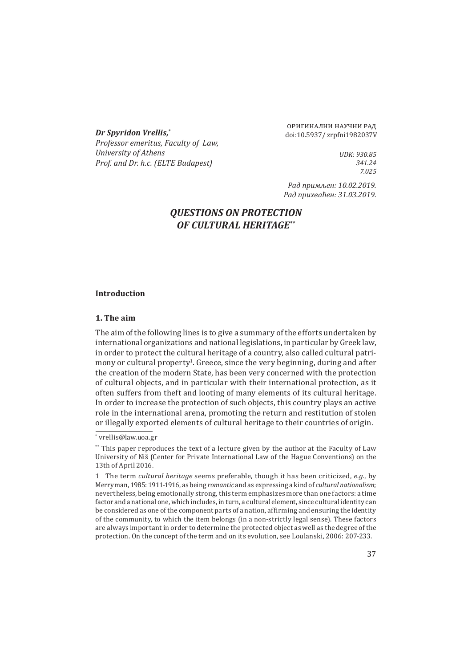**Dr Spyridon Vrellis,\*** doi:10.5937/ zrpfni1982037V *Professor emeritus, Faculty of Law, University of Athens Prof. and Dr. h.c. (ELTE Budapest)*

оригинални научни рад

*UDK: 930.85 341.24 7.025*

*Рад примљен: 10.02.2019. Рад прихваћен: 31.03.2019.*

# *QUESTIONS ON PROTECTION OF CULTURAL HERITAGE\*\**

### **Introduction**

#### **1. The aim**

The aim of the following lines is to give a summary of the efforts undertaken by international organizations and national legislations, in particular by Greek law, in order to protect the cultural heritage of a country, also called cultural patrimony or cultural property<sup>1</sup>. Greece, since the very beginning, during and after the creation of the modern State, has been very concerned with the protection of cultural objects, and in particular with their international protection, as it often suffers from theft and looting of many elements of its cultural heritage. In order to increase the protection of such objects, this country plays an active role in the international arena, promoting the return and restitution of stolen or illegally exported elements of cultural heritage to their countries of origin.

<sup>\*</sup> vrellis@law.uoa.gr

<sup>\*\*</sup> This paper reproduces the text of a lecture given by the author at the Faculty of Law University of Niš (Center for Private International Law of the Hague Conventions) on the 13th of April 2016.

<sup>1</sup>  The term *cultural heritage* seems preferable, though it has been criticized, *e.g.*, by Merryman, 1985: 1911-1916, as being *romantic* and as expressing a kind of *cultural nationalism*; nevertheless, being emotionally strong, this term emphasizes more than one factors: a time factor and a national one, which includes, in turn, a cultural element, since cultural identity can be considered as one of the component parts of a nation, affirming and ensuring the identity of the community, to which the item belongs (in a non-strictly legal sense). These factors are always important in order to determine the protected object as well as the degree of the protection. On the concept of the term and on its evolution, see Loulanski, 2006: 207-233.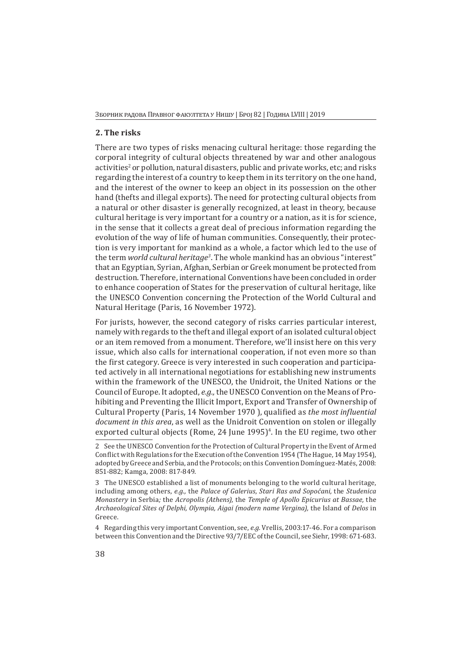## **2. The risks**

There are two types of risks menacing cultural heritage: those regarding the corporal integrity of cultural objects threatened by war and other analogous activities<sup>2</sup> or pollution, natural disasters, public and private works, etc; and risks regarding the interest of a country to keep them in its territory on the one hand, and the interest of the owner to keep an object in its possession on the other hand (thefts and illegal exports). The need for protecting cultural objects from a natural or other disaster is generally recognized, at least in theory, because cultural heritage is very important for a country or a nation, as it is for science, in the sense that it collects a great deal of precious information regarding the evolution of the way of life of human communities. Consequently, their protection is very important for mankind as a whole, a factor which led to the use of the term *world cultural heritage3*. The whole mankind has an obvious "interest" that an Egyptian, Syrian, Afghan, Serbian or Greek monument be protected from destruction. Therefore, international Conventions have been concluded in order to enhance cooperation of States for the preservation of cultural heritage, like the UNESCO Convention concerning the Protection of the World Cultural and Natural Heritage (Paris, 16 November 1972).

For jurists, however, the second category of risks carries particular interest, namely with regards to the theft and illegal export of an isolated cultural object or an item removed from a monument. Therefore, we'll insist here on this very issue, which also calls for international cooperation, if not even more so than the first category. Greece is very interested in such cooperation and participated actively in all international negotiations for establishing new instruments within the framework of the UNESCO, the Unidroit, the United Nations or the Council of Europe. It adopted, *e.g.,* the UNESCO Convention on the Means of Prohibiting and Preventing the Illicit Import, Export and Transfer of Ownership of Cultural Property (Paris, 14 November 1970 ), qualified as *the most influential document in this area*, as well as the Unidroit Convention on stolen or illegally exported cultural objects (Rome, 24 June 1995)<sup>4</sup>. In the EU regime, two other

4 Regarding this very important Convention, see, *e.g.* Vrellis, 2003:17-46. For a comparison between this Convention and the Directive 93/7/EEC of the Council, see Siehr, 1998: 671-683.

<sup>2</sup>  See the UNESCO Convention for the Protection of Cultural Property in the Event of Armed Conflict with Regulations for the Execution of the Convention 1954 (The Hague, 14 May 1954), adopted by Greece and Serbia, and the Protocols; on this Convention Domínguez-Matés, 2008: 851-882; Kamga, 2008: 817-849.

<sup>3</sup>  The UNESCO established a list of monuments belonging to the world cultural heritage, including among others, *e.g.,* the *Palace of Galerius*, *Stari Ras and Sopoćani,* the *Studenica Monastery* in Serbia*;* the *Acropolis (Athens),* the *Temple of Apollo Epicurius at Bassae,* the *Archaeological Sites of Delphi, Olympia, Aigai (modern name Vergina),* the Island of *Delos* in Greece.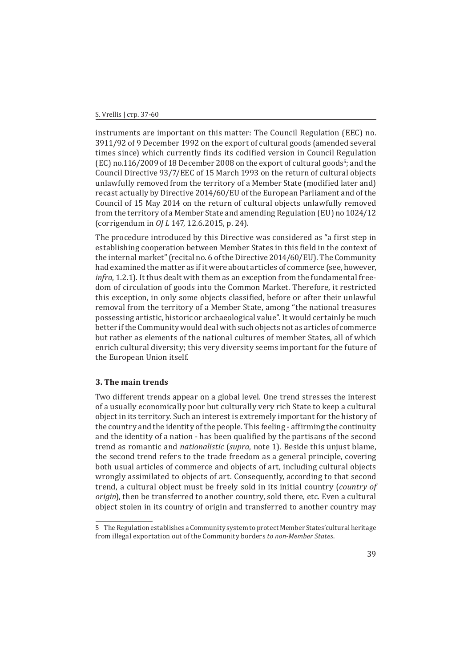instruments are important on this matter: The Council Regulation (EEC) no. 3911/92 of 9 December 1992 on the export of cultural goods (amended several times since) which currently finds its codified version in Council Regulation (EC) no.116/2009 of 18 December  $2008$  on the export of cultural goods $\degree$ ; and the Council Directive 93/7/EEC of 15 March 1993 on the return of cultural objects unlawfully removed from the territory of a Member State (modified later and) recast actually by Directive 2014/60/EU of the European Parliament and of the Council of 15 May 2014 on the return of cultural objects unlawfully removed from the territory of a Member State and amending Regulation (EU) no 1024/12 (corrigendum in *OJ L* 147, 12.6.2015, p. 24).

The procedure introduced by this Directive was considered as "a first step in establishing cooperation between Member States in this field in the context of the internal market" (recital no. 6 of the Directive 2014/60/EU). The Community had examined the matter as if it were about articles of commerce (see, however, *infra*, 1.2.1). It thus dealt with them as an exception from the fundamental freedom of circulation of goods into the Common Market. Therefore, it restricted this exception, in only some objects classified, before or after their unlawful removal from the territory of a Member State, among "the national treasures possessing artistic, historic or archaeological value". It would certainly be much better if the Community would deal with such objects not as articles of commerce but rather as elements of the national cultures of member States, all of which enrich cultural diversity; this very diversity seems important for the future of the European Union itself.

### **3. The main trends**

Two different trends appear on a global level. One trend stresses the interest of a usually economically poor but culturally very rich State to keep a cultural object in its territory. Such an interest is extremely important for the history of the country and the identity of the people. This feeling - affirming the continuity and the identity of a nation - has been qualified by the partisans of the second trend as romantic and *nationalistic* (*supra*, note 1). Beside this unjust blame, the second trend refers to the trade freedom as a general principle, covering both usual articles of commerce and objects of art, including cultural objects wrongly assimilated to objects of art. Consequently, according to that second trend, a cultural object must be freely sold in its initial country (*country of origin*), then be transferred to another country, sold there, etc. Even a cultural object stolen in its country of origin and transferred to another country may

<sup>5</sup>  The Regulation establishes a Community system to protect Member States'cultural heritage from illegal exportation out of the Community borders *to non-Member States*.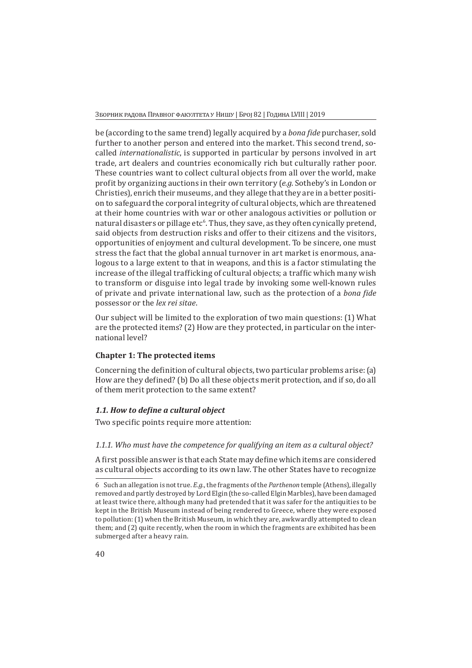Зборник радова Правног факултета у Нишу | Број 82 | Година LVIII | 2019

be (according to the same trend) legally acquired by a *bona fide* purchaser, sold further to another person and entered into the market. This second trend, socalled *internationalistic*, is supported in particular by persons involved in art trade, art dealers and countries economically rich but culturally rather poor. These countries want to collect cultural objects from all over the world, make profit by organizing auctions in their own territory (*e.g.* Sotheby's in London or Christies), enrich their museums, and they allege that they are in a better position to safeguard the corporal integrity of cultural objects, which are threatened at their home countries with war or other analogous activities or pollution or natural disasters or pillage etc<sup>6</sup>. Thus, they save, as they often cynically pretend, said objects from destruction risks and offer to their citizens and the visitors, opportunities of enjoyment and cultural development. To be sincere, one must stress the fact that the global annual turnover in art market is enormous, analogous to a large extent to that in weapons, and this is a factor stimulating the increase of the illegal trafficking of cultural objects; a traffic which many wish to transform or disguise into legal trade by invoking some well-known rules of private and private international law, such as the protection of a *bona fide* possessor or the *lex rei sitae*.

Our subject will be limited to the exploration of two main questions: (1) What are the protected items? (2) How are they protected, in particular on the international level?

# **Chapter 1: The protected items**

Concerning the definition of cultural objects, two particular problems arise: (a) How are they defined? (b) Do all these objects merit protection, and if so, do all of them merit protection to the same extent?

# *1.1. How to define a cultural object*

Two specific points require more attention:

# *1.1.1. Who must have the competence for qualifying an item as a cultural object?*

A first possible answer is that each State may define which items are considered as cultural objects according to its own law. The other States have to recognize

<sup>6</sup>  Such an allegation is not true. *E.g.*, the fragments of the *Parthenon* temple (Athens), illegally removed and partly destroyed by Lord Elgin (the so-called Elgin Marbles), have been damaged at least twice there, although many had pretended that it was safer for the antiquities to be kept in the British Museum instead of being rendered to Greece, where they were exposed to pollution: (1) when the British Museum, in which they are, awkwardly attempted to clean them; and (2) quite recently, when the room in which the fragments are exhibited has been submerged after a heavy rain.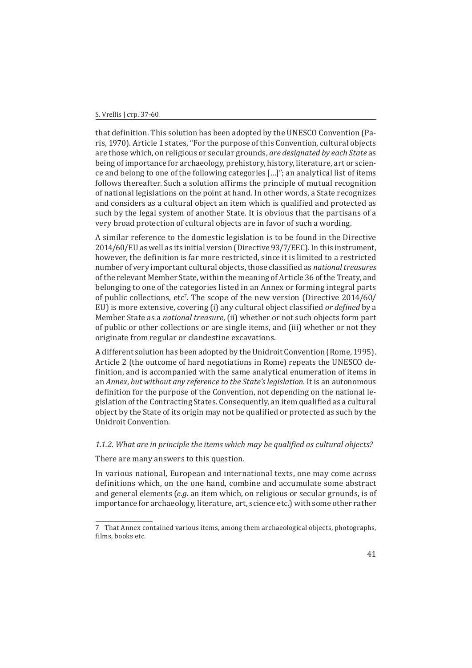#### S. Vrellis | стр. 37-60

that definition. This solution has been adopted by the UNESCO Convention (Paris, 1970). Article 1 states, "For the purpose of this Convention, cultural objects are those which, on religious or secular grounds, *are designated by each State* as being of importance for archaeology, prehistory, history, literature, art or science and belong to one of the following categories […]"; an analytical list of items follows thereafter. Such a solution affirms the principle of mutual recognition of national legislations on the point at hand. In other words, a State recognizes and considers as a cultural object an item which is qualified and protected as such by the legal system of another State. It is obvious that the partisans of a very broad protection of cultural objects are in favor of such a wording.

A similar reference to the domestic legislation is to be found in the Directive 2014/60/EU as well as its initial version (Directive 93/7/EEC). In this instrument, however, the definition is far more restricted, since it is limited to a restricted number of very important cultural objects, those classified as *national treasures* of the relevant Member State, within the meaning of Article 36 of the Treaty, and belonging to one of the categories listed in an Annex or forming integral parts of public collections, etc'. The scope of the new version (Directive 2014/60/ EU) is more extensive, covering (i) any cultural object classified *or defined* by a Member State as a *national treasure*, (ii) whether or not such objects form part of public or other collections or are single items, and (iii) whether or not they originate from regular or clandestine excavations.

A different solution has been adopted by the Unidroit Convention (Rome, 1995). Article 2 (the outcome of hard negotiations in Rome) repeats the UNESCO definition, and is accompanied with the same analytical enumeration of items in an *Annex*, *but without any reference to the State's legislation*. It is an autonomous definition for the purpose of the Convention, not depending on the national legislation of the Contracting States. Consequently, an item qualified as a cultural object by the State of its origin may not be qualified or protected as such by the Unidroit Convention.

### *1.1.2. What are in principle the items which may be qualified as cultural objects?*

There are many answers to this question.

In various national, European and international texts, one may come across definitions which, on the one hand, combine and accumulate some abstract and general elements (*e.g.* an item which, on religious or secular grounds, is of importance for archaeology, literature, art, science etc.) with some other rather

<sup>7</sup>  That Annex contained various items, among them archaeological objects, photographs, films, books etc.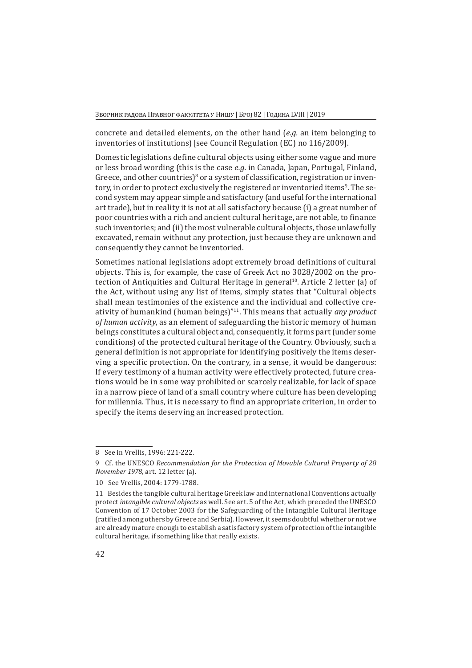concrete and detailed elements, on the other hand (*e.g.* an item belonging to inventories of institutions) [see Council Regulation (EC) no 116/2009].

Domestic legislations define cultural objects using either some vague and more or less broad wording (this is the case *e.g.* in Canada, Japan, Portugal, Finland, Greece, and other countries) $^8$  or a system of classification, registration or inventory, in order to protect exclusively the registered or inventoried items<sup>9</sup>. The second system may appear simple and satisfactory (and useful for the international art trade), but in reality it is not at all satisfactory because (i) a great number of poor countries with a rich and ancient cultural heritage, are not able, to finance such inventories; and (ii) the most vulnerable cultural objects, those unlawfully excavated, remain without any protection, just because they are unknown and consequently they cannot be inventoried.

Sometimes national legislations adopt extremely broad definitions of cultural objects. This is, for example, the case of Greek Act no 3028/2002 on the protection of Antiquities and Cultural Heritage in general<sup>10</sup>. Article 2 letter (a) of the Act, without using any list of items, simply states that "Cultural objects shall mean testimonies of the existence and the individual and collective creativity of humankind (human beings)"11. This means that actually *any product of human activity*, as an element of safeguarding the historic memory of human beings constitutes a cultural object and, consequently, it forms part (under some conditions) of the protected cultural heritage of the Country. Obviously, such a general definition is not appropriate for identifying positively the items deserving a specific protection. On the contrary, in a sense, it would be dangerous: If every testimony of a human activity were effectively protected, future creations would be in some way prohibited or scarcely realizable, for lack of space in a narrow piece of land of a small country where culture has been developing for millennia. Thus, it is necessary to find an appropriate criterion, in order to specify the items deserving an increased protection.

<sup>8</sup>  See in Vrellis, 1996: 221-222.

<sup>9</sup>  Cf. the UNESCO *Recommendation for the Protection of Movable Cultural Property of 28 November 1978*, art. 12 letter (a).

<sup>10</sup>  See Vrellis, 2004: 1779-1788.

<sup>11</sup>  Besides the tangible cultural heritage Greek law and international Conventions actually protect *intangible cultural objects* as well. See art. 5 of the Act, which preceded the UNESCO Convention of 17 October 2003 for the Safeguarding of the Intangible Cultural Heritage (ratified among others by Greece and Serbia). However, it seems doubtful whether or not we are already mature enough to establish a satisfactory system of protection of the intangible cultural heritage, if something like that really exists.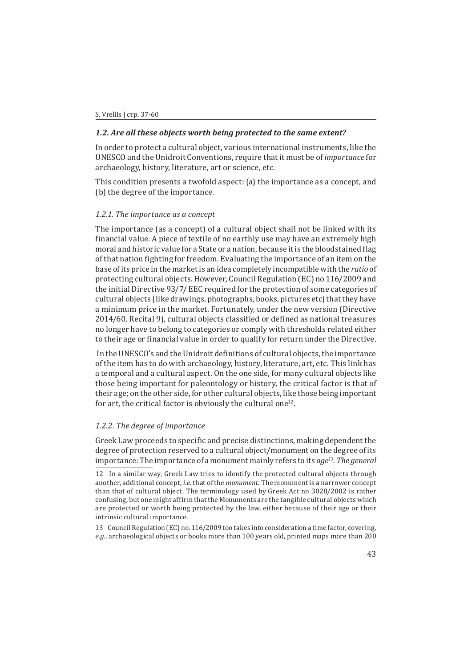### *1.2. Are all these objects worth being protected to the same extent?*

In order to protect a cultural object, various international instruments, like the UNESCO and the Unidroit Conventions, require that it must be of *importance* for archaeology, history, literature, art or science, etc.

This condition presents a twofold aspect: (a) the importance as a concept, and (b) the degree of the importance.

### *1.2.1. The importance as a concept*

The importance (as a concept) of a cultural object shall not be linked with its financial value. A piece of textile of no earthly use may have an extremely high moral and historic value for a State or a nation, because it is the bloodstained flag of that nation fighting for freedom. Evaluating the importance of an item on the base of its price in the market is an idea completely incompatible with the *ratio* of protecting cultural objects. However, Council Regulation (EC) no 116/2009 and the initial Directive 93/7/ EEC required for the protection of some categories of cultural objects (like drawings, photographs, books, pictures etc) that they have a minimum price in the market. Fortunately, under the new version (Directive 2014/60, Recital 9), cultural objects classified or defined as national treasures no longer have to belong to categories or comply with thresholds related either to their age or financial value in order to qualify for return under the Directive.

 In the UNESCO's and the Unidroit definitions of cultural objects, the importance of the item has to do with archaeology, history, literature, art, etc. This link has a temporal and a cultural aspect. On the one side, for many cultural objects like those being important for paleontology or history, the critical factor is that of their age; on the other side, for other cultural objects, like those being important for art, the critical factor is obviously the cultural one<sup>12</sup>.

## *1.2.2. The degree of importance*

Greek Law proceeds to specific and precise distinctions, making dependent the degree of protection reserved to a cultural object/monument on the degree of its importance: The importance of a monument mainly refers to its *age13. The general* 

13 Council Regulation (EC) no. 116/2009 too takes into consideration a time factor, covering, *e.g.,* archaeological objects or books more than 100 years old, printed maps more than 200

<sup>12</sup>  In a similar way, Greek Law tries to identify the protected cultural objects through another, additional concept, *i.e.* that of the *monument.* The monument is a narrower concept than that of cultural object. The terminology used by Greek Act no 3028/2002 is rather confusing, but one might affirm that the Monuments are the tangible cultural objects which are protected or worth being protected by the law, either because of their age or their intrinsic cultural importance.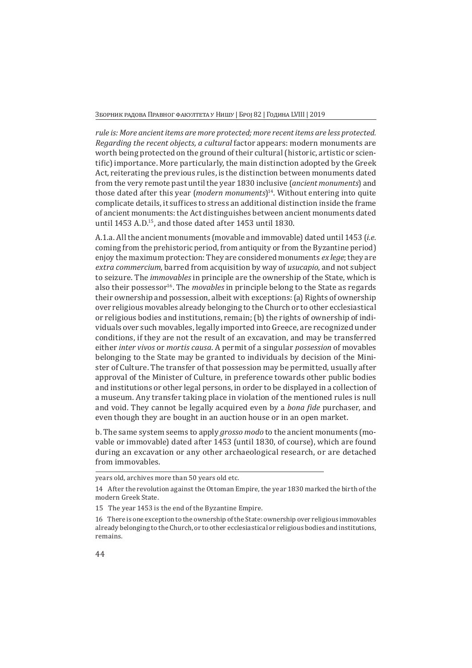#### Зборник радова Правног факултета у Нишу | Број 82 | Година LVIII | 2019

*rule is: More ancient items are more protected; more recent items are less protected. Regarding the recent objects, a cultural* factor appears: modern monuments are worth being protected on the ground of their cultural (historic, artistic or scientific) importance. More particularly, the main distinction adopted by the Greek Act, reiterating the previous rules, is the distinction between monuments dated from the very remote past until the year 1830 inclusive (*ancient monuments*) and those dated after this year (*modern monuments*)14. Without entering into quite complicate details, it suffices to stress an additional distinction inside the frame of ancient monuments: the Act distinguishes between ancient monuments dated until 1453 A.D.15, and those dated after 1453 until 1830.

A.1.a. All the ancient monuments (movable and immovable) dated until 1453 (*i.e.* coming from the prehistoric period, from antiquity or from the Byzantine period) enjoy the maximum protection: They are considered monuments *ex lege*; they are *extra commercium*, barred from acquisition by way of *usucapio*, and not subject to seizure. The *immovables* in principle are the ownership of the State, which is also their possessor<sup>16</sup>. The *movables* in principle belong to the State as regards their ownership and possession, albeit with exceptions: (a) Rights of ownership over religious movables already belonging to the Church or to other ecclesiastical or religious bodies and institutions, remain; (b) the rights of ownership of individuals over such movables, legally imported into Greece, are recognized under conditions, if they are not the result of an excavation, and may be transferred either *inter vivos* or *mortis causa*. A permit of a singular *possession* of movables belonging to the State may be granted to individuals by decision of the Minister of Culture. The transfer of that possession may be permitted, usually after approval of the Minister of Culture, in preference towards other public bodies and institutions or other legal persons, in order to be displayed in a collection of a museum. Any transfer taking place in violation of the mentioned rules is null and void. They cannot be legally acquired even by a *bona fide* purchaser, and even though they are bought in an auction house or in an open market.

b. The same system seems to apply *grosso modo* to the ancient monuments (movable or immovable) dated after 1453 (until 1830, of course), which are found during an excavation or any other archaeological research, or are detached from immovables.

years old, archives more than 50 years old etc.

<sup>14</sup>  After the revolution against the Ottoman Empire, the year 1830 marked the birth of the modern Greek State.

<sup>15</sup>  The year 1453 is the end of the Byzantine Empire.

<sup>16</sup>  There is one exception to the ownership of the State: ownership over religious immovables already belonging to the Church, or to other ecclesiastical or religious bodies and institutions, remains.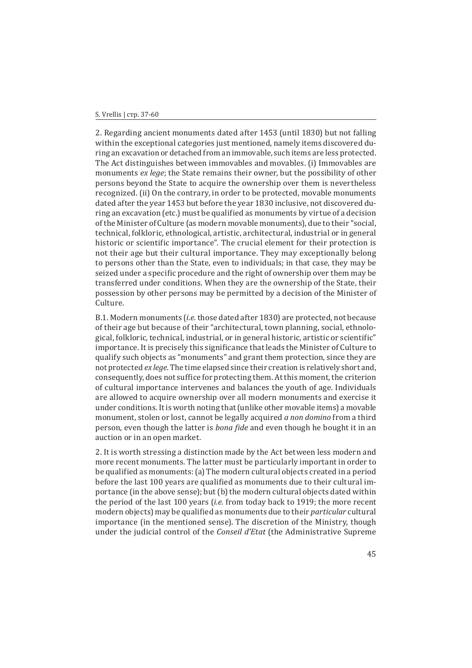2. Regarding ancient monuments dated after 1453 (until 1830) but not falling within the exceptional categories just mentioned, namely items discovered during an excavation or detached from an immovable, such items are less protected. The Act distinguishes between immovables and movables. (i) Immovables are monuments *ex lege*; the State remains their owner, but the possibility of other persons beyond the State to acquire the ownership over them is nevertheless recognized. (ii) On the contrary, in order to be protected, movable monuments dated after the year 1453 but before the year 1830 inclusive, not discovered during an excavation (etc.) must be qualified as monuments by virtue of a decision of the Minister of Culture (as modern movable monuments), due to their "social, technical, folkloric, ethnological, artistic, architectural, industrial or in general historic or scientific importance". The crucial element for their protection is not their age but their cultural importance. They may exceptionally belong to persons other than the State, even to individuals; in that case, they may be seized under a specific procedure and the right of ownership over them may be transferred under conditions. When they are the ownership of the State, their possession by other persons may be permitted by a decision of the Minister of Culture.

B.1. Modern monuments (*i.e.* those dated after 1830) are protected, not because of their age but because of their "architectural, town planning, social, ethnological, folkloric, technical, industrial, or in general historic, artistic or scientific" importance. It is precisely this significance that leads the Minister of Culture to qualify such objects as "monuments" and grant them protection, since they are not protected *ex lege*. The time elapsed since their creation is relatively short and, consequently, does not suffice for protecting them. At this moment, the criterion of cultural importance intervenes and balances the youth of age. Individuals are allowed to acquire ownership over all modern monuments and exercise it under conditions. It is worth noting that (unlike other movable items) a movable monument, stolen or lost, cannot be legally acquired *a non domino* from a third person, even though the latter is *bona fide* and even though he bought it in an auction or in an open market.

2. It is worth stressing a distinction made by the Act between less modern and more recent monuments. The latter must be particularly important in order to be qualified as monuments: (a) The modern cultural objects created in a period before the last 100 years are qualified as monuments due to their cultural importance (in the above sense); but (b) the modern cultural objects dated within the period of the last 100 years (*i.e.* from today back to 1919; the more recent modern objects) may be qualified as monuments due to their *particular* cultural importance (in the mentioned sense). The discretion of the Ministry, though under the judicial control of the *Conseil d'Etat* (the Administrative Supreme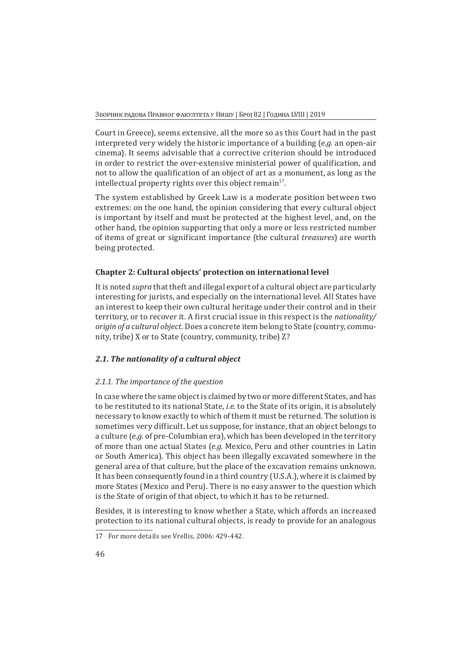Court in Greece), seems extensive, all the more so as this Court had in the past interpreted very widely the historic importance of a building (*e.g.* an open-air cinema). It seems advisable that a corrective criterion should be introduced in order to restrict the over-extensive ministerial power of qualification, and not to allow the qualification of an object of art as a monument, as long as the intellectual property rights over this object remain $17$ .

The system established by Greek Law is a moderate position between two extremes: on the one hand, the opinion considering that every cultural object is important by itself and must be protected at the highest level, and, on the other hand, the opinion supporting that only a more or less restricted number of items of great or significant importance (the cultural *treasures*) are worth being protected.

# **Chapter 2: Cultural objects' protection on international level**

It is noted *supra* that theft and illegal export of a cultural object are particularly interesting for jurists, and especially on the international level. All States have an interest to keep their own cultural heritage under their control and in their territory, or to recover it. A first crucial issue in this respect is the *nationality/ origin of a cultural object.* Does a concrete item belong to State (country, community, tribe) X or to State (country, community, tribe) Z?

# *2.1. The nationality of a cultural object*

# *2.1.1. The importance of the question*

In case where the same object is claimed by two or more different States, and has to be restituted to its national State, *i.e.* to the State of its origin, it is absolutely necessary to know exactly to which of them it must be returned. The solution is sometimes very difficult. Let us suppose, for instance, that an object belongs to a culture (*e.g.* of pre-Columbian era), which has been developed in the territory of more than one actual States (*e.g.* Mexico, Peru and other countries in Latin or South America). This object has been illegally excavated somewhere in the general area of that culture, but the place of the excavation remains unknown. It has been consequently found in a third country (U.S.A.), where it is claimed by more States (Mexico and Peru). There is no easy answer to the question which is the State of origin of that object, to which it has to be returned.

Besides, it is interesting to know whether a State, which affords an increased protection to its national cultural objects, is ready to provide for an analogous

<sup>17</sup>  For more details see Vrellis, 2006: 429-442.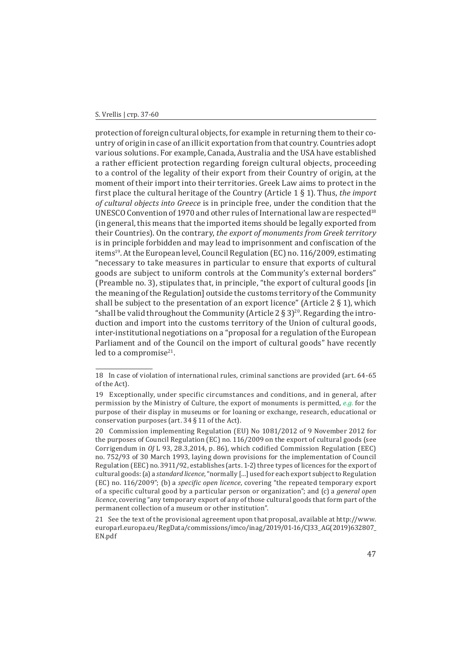#### S. Vrellis | стр. 37-60

protection of foreign cultural objects, for example in returning them to their country of origin in case of an illicit exportation from that country. Countries adopt various solutions. For example, Canada, Australia and the USA have established a rather efficient protection regarding foreign cultural objects, proceeding to a control of the legality of their export from their Country of origin, at the moment of their import into their territories. Greek Law aims to protect in the first place the cultural heritage of the Country (Article 1 § 1). Thus, *the import of cultural objects into Greece* is in principle free, under the condition that the UNESCO Convention of 1970 and other rules of International law are respected<sup>18</sup> (in general, this means that the imported items should be legally exported from their Countries). On the contrary, *the export of monuments from Greek territory* is in principle forbidden and may lead to imprisonment and confiscation of the items19. At the European level, Council Regulation (EC) no. 116/2009, estimating "necessary to take measures in particular to ensure that exports of cultural goods are subject to uniform controls at the Community's external borders" (Preamble no. 3), stipulates that, in principle, "the export of cultural goods [in the meaning of the Regulation] outside the customs territory of the Community shall be subject to the presentation of an export licence" (Article  $2 \nless 1$ ), which "shall be valid throughout the Community (Article 2  $\S$  3)<sup>20</sup>. Regarding the introduction and import into the customs territory of the Union of cultural goods, inter-institutional negotiations on a "proposal for a regulation of the European Parliament and of the Council on the import of cultural goods" have recently led to a compromise $21$ .

<sup>18</sup>  In case of violation of international rules, criminal sanctions are provided (art. 64-65 of the Act).

<sup>19</sup> Exceptionally, under specific circumstances and conditions, and in general, after permission by the Ministry of Culture, the export of monuments is permitted, *e.g.* for the purpose of their display in museums or for loaning or exchange, research, educational or conservation purposes (art. 34 § 11 of the Act).

<sup>20</sup>  Commission implementing Regulation (EU) No 1081/2012 of 9 November 2012 for the purposes of Council Regulation (EC) no. 116/2009 on the export of cultural goods (see Corrigendum in *OJ* L 93, 28.3,2014, p. 86), which codified Commission Regulation (EEC) no. 752/93 of 30 March 1993, laying down provisions for the implementation of Council Regulation (EEC) no. 3911/92, establishes (arts. 1-2) three types of licences for the export of cultural goods: (a) a *standard licence*, "normally […] used for each export subject to Regulation (EC) no. 116/2009"; (b) a *specific open licence*, covering "the repeated temporary export of a specific cultural good by a particular person or organization"; and (c) a *general open licence*, covering "any temporary export of any of those cultural goods that form part of the permanent collection of a museum or other institution".

<sup>21</sup>  See the text of the provisional agreement upon that proposal, available at http://www. europarl.europa.eu/RegData/commissions/imco/inag/2019/01-16/CJ33\_AG(2019)632807\_ EN.pdf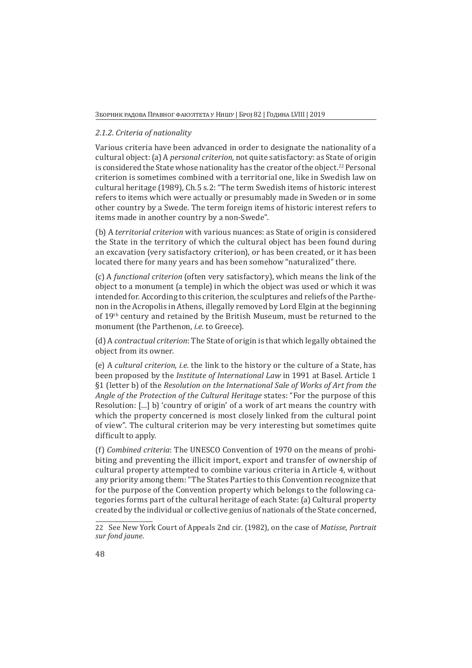## *2.1.2. Criteria of nationality*

Various criteria have been advanced in order to designate the nationality of a cultural object: (a) A *personal criterion*, not quite satisfactory: as State of origin is considered the State whose nationality has the creator of the object.<sup>22</sup> Personal criterion is sometimes combined with a territorial one, like in Swedish law on cultural heritage (1989), Ch.5 s.2: "The term Swedish items of historic interest refers to items which were actually or presumably made in Sweden or in some other country by a Swede. The term foreign items of historic interest refers to items made in another country by a non-Swede".

(b) A *territorial criterion* with various nuances: as State of origin is considered the State in the territory of which the cultural object has been found during an excavation (very satisfactory criterion), or has been created, or it has been located there for many years and has been somehow "naturalized" there.

(c) A *functional criterion* (often very satisfactory), which means the link of the object to a monument (a temple) in which the object was used or which it was intended for. According to this criterion, the sculptures and reliefs of the Parthenon in the Acropolis in Athens, illegally removed by Lord Elgin at the beginning of 19th century and retained by the British Museum, must be returned to the monument (the Parthenon, *i.e.* to Greece).

(d) A *contractual criterion*: The State of origin is that which legally obtained the object from its owner.

(e) A *cultural criterion*, *i.e.* the link to the history or the culture of a State, has been proposed by the *Institute of International Law* in 1991 at Basel. Article 1 §1 (letter b) of the *Resolution on the International Sale of Works of Art from the Angle of the Protection of the Cultural Heritage* states: "For the purpose of this Resolution: […] b) 'country of origin' of a work of art means the country with which the property concerned is most closely linked from the cultural point of view". The cultural criterion may be very interesting but sometimes quite difficult to apply.

(f) *Combined criteria*: The UNESCO Convention of 1970 on the means of prohibiting and preventing the illicit import, export and transfer of ownership of cultural property attempted to combine various criteria in Article 4, without any priority among them: "The States Parties to this Convention recognize that for the purpose of the Convention property which belongs to the following categories forms part of the cultural heritage of each State: (a) Cultural property created by the individual or collective genius of nationals of the State concerned,

<sup>22</sup>  See New York Court of Appeals 2nd cir. (1982), on the case of *Matisse, Portrait sur fond jaune*.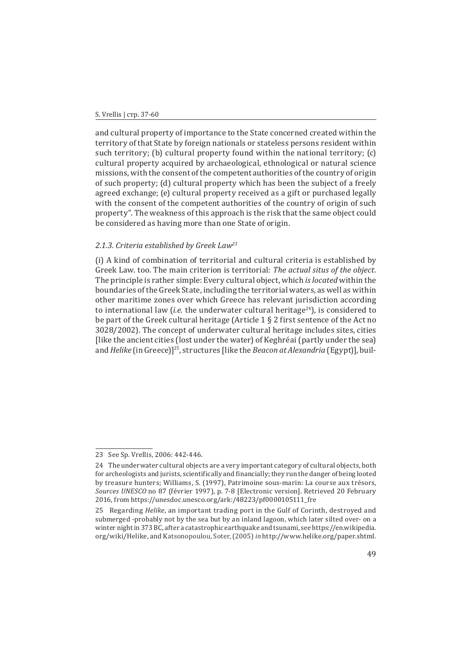and cultural property of importance to the State concerned created within the territory of that State by foreign nationals or stateless persons resident within such territory; (b) cultural property found within the national territory; (c) cultural property acquired by archaeological, ethnological or natural science missions, with the consent of the competent authorities of the country of origin of such property; (d) cultural property which has been the subject of a freely agreed exchange; (e) cultural property received as a gift or purchased legally with the consent of the competent authorities of the country of origin of such property". The weakness of this approach is the risk that the same object could be considered as having more than one State of origin.

### *2.1.3. Criteria established by Greek Law<sup>23</sup>*

(i) A kind of combination of territorial and cultural criteria is established by Greek Law. too. The main criterion is territorial: *The actual situs of the object.* The principle is rather simple: Every cultural object, which *is located* within the boundaries of the Greek State, including the territorial waters, as well as within other maritime zones over which Greece has relevant jurisdiction according to international law *(i.e.* the underwater cultural heritage<sup>24</sup>), is considered to be part of the Greek cultural heritage (Article 1 § 2 first sentence of the Act no 3028/2002). The concept of underwater cultural heritage includes sites, cities [like the ancient cities (lost under the water) of Keghréai (partly under the sea) and *Helike* (in Greece)]25, structures [like the *Beacon at Alexandria* (Egypt)], buil-

<sup>23</sup>  See Sp. Vrellis, 2006: 442-446.

<sup>24</sup>  The underwater cultural objects are a very important category of cultural objects, both for archeologists and jurists, scientifically and financially; they run the danger of being looted by treasure hunters; Williams, S. (1997), Patrimoine sous-marin: La course aux trésors, *Sources UNESCO* no 87 (février 1997), p. 7-8 [Electronic version]. Retrieved 20 February 2016, from https://unesdoc.unesco.org/ark:/48223/pf0000105111\_fre

<sup>25</sup>  Regarding *Helike*, an important trading port in the Gulf of Corinth, destroyed and submerged -probably not by the sea but by an inland lagoon, which later silted over- on a winter night in 373 BC, after a catastrophic earthquake and tsunami, see https://en.wikipedia. org/wiki/Helike, and Katsonopoulou, Soter, (2005) *in* http://www.helike.org/paper.shtml.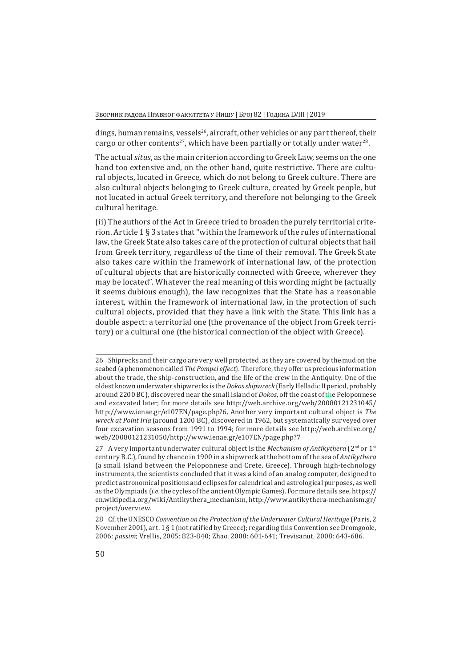dings, human remains, vessels<sup>26</sup>, aircraft, other vehicles or any part thereof, their cargo or other contents<sup>27</sup>, which have been partially or totally under water<sup>28</sup>.

The actual *situs*, as the main criterion according to Greek Law, seems on the one hand too extensive and, on the other hand, quite restrictive. There are cultural objects, located in Greece, which do not belong to Greek culture. There are also cultural objects belonging to Greek culture, created by Greek people, but not located in actual Greek territory, and therefore not belonging to the Greek cultural heritage.

(ii) The authors of the Act in Greece tried to broaden the purely territorial criterion. Article 1 § 3 states that "within the framework of the rules of international law, the Greek State also takes care of the protection of cultural objects that hail from Greek territory, regardless of the time of their removal. The Greek State also takes care within the framework of international law, of the protection of cultural objects that are historically connected with Greece, wherever they may be located". Whatever the real meaning of this wording might be (actually it seems dubious enough), the law recognizes that the State has a reasonable interest, within the framework of international law, in the protection of such cultural objects, provided that they have a link with the State. This link has a double aspect: a territorial one (the provenance of the object from Greek territory) or a cultural one (the historical connection of the object with Greece).

<sup>26</sup>  Shiprecks and their cargo are very well protected, as they are covered by the mud on the seabed (a phenomenon called *The Pompei effect*)*.* Therefore, they offer us precious information about the trade, the ship-construction, and the life of the crew in the Antiquity. One of the oldest known underwater shipwrecks is the *Dokos shipwreck* (Early Helladic II period, probably around 2200 BC), discovered near the small island of *Dokos*, off the coast of the Peloponnese and excavated later; for more details see http://web.archive.org/web/20080121231045/ http://www.ienae.gr/e107EN/page.php?6. Another very important cultural object is *The wreck at Point Iria* (around 1200 BC), discovered in 1962, but systematically surveyed over four excavation seasons from 1991 to 1994; for more details see http://web.archive.org/ web/20080121231050/http://www.ienae.gr/e107EN/page.php?7

<sup>27</sup>  A very important underwater cultural object is the *Mechanism of Antikythera* (2nd or 1st century B.C.), found by chance in 1900 in a shipwreck at the bottom of the sea of *Antikythera* (a small island between the Peloponnese and Crete, Greece). Through high-technology instruments, the scientists concluded that it was a kind of an analog computer, designed to predict astronomical positions and eclipses for calendrical and astrological purposes, as well as the Olympiads (*i.e.* the cycles of the ancient Olympic Games). For more details see, https:// en.wikipedia.org/wiki/Antikythera\_mechanism, http://www.antikythera-mechanism.gr/ project/overview.

<sup>28</sup>  Cf. the UNESCO *Convention on the Protection of the Underwater Cultural Heritage* (Paris, 2 November 2001), art. 1 § 1 (not ratified by Greece); regarding this Convention see Dromgoole, 2006: *passim*; Vrellis, 2005: 823-840; Zhao, 2008: 601-641; Trevisanut, 2008: 643-686.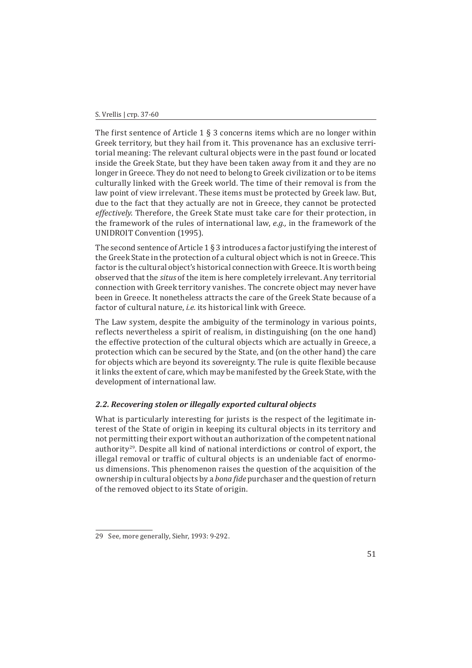#### S. Vrellis | стр. 37-60

The first sentence of Article 1  $\S$  3 concerns items which are no longer within Greek territory, but they hail from it. This provenance has an exclusive territorial meaning: The relevant cultural objects were in the past found or located inside the Greek State, but they have been taken away from it and they are no longer in Greece. They do not need to belong to Greek civilization or to be items culturally linked with the Greek world. The time of their removal is from the law point of view irrelevant. These items must be protected by Greek law. But, due to the fact that they actually are not in Greece, they cannot be protected *effectively*. Therefore, the Greek State must take care for their protection, in the framework of the rules of international law, *e.g.,* in the framework of the UNIDROIT Convention (1995).

The second sentence of Article 1  $\S$  3 introduces a factor justifying the interest of the Greek State in the protection of a cultural object which is not in Greece. This factor is the cultural object's historical connection with Greece. It is worth being observed that the *situs* of the item is here completely irrelevant. Any territorial connection with Greek territory vanishes. The concrete object may never have been in Greece. It nonetheless attracts the care of the Greek State because of a factor of cultural nature, *i.e.* its historical link with Greece.

The Law system, despite the ambiguity of the terminology in various points, reflects nevertheless a spirit of realism, in distinguishing (on the one hand) the effective protection of the cultural objects which are actually in Greece, a protection which can be secured by the State, and (on the other hand) the care for objects which are beyond its sovereignty. The rule is quite flexible because it links the extent of care, which may be manifested by the Greek State, with the development of international law.

### *2.2. Recovering stolen or illegally exported cultural objects*

What is particularly interesting for jurists is the respect of the legitimate interest of the State of origin in keeping its cultural objects in its territory and not permitting their export without an authorization of the competent national authority29. Despite all kind of national interdictions or control of export, the illegal removal or traffic of cultural objects is an undeniable fact of enormous dimensions. This phenomenon raises the question of the acquisition of the ownership in cultural objects by a *bona fide* purchaser and the question of return of the removed object to its State of origin.

<sup>29</sup>  See, more generally, Siehr, 1993: 9-292.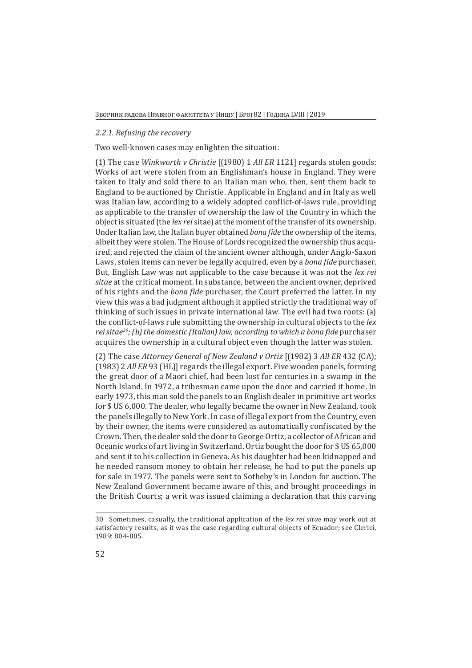### *2.2.1. Refusing the recovery*

Two well-known cases may enlighten the situation:

(1) The case *Winkworth v Christie* [(1980) 1 *All ER* 1121] regards stolen goods: Works of art were stolen from an Englishman's house in England. They were taken to Italy and sold there to an Italian man who, then, sent them back to England to be auctioned by Christie. Applicable in England and in Italy as well was Italian law, according to a widely adopted conflict-of-laws rule, providing as applicable to the transfer of ownership the law of the Country in which the object is situated (the *lex rei* sitae) at the moment of the transfer of its ownership. Under Italian law, the Italian buyer obtained *bona fide* the ownership of the items, albeit they were stolen. The House of Lords recognized the ownership thus acquired, and rejected the claim of the ancient owner although, under Anglo-Saxon Laws, stolen items can never be legally acquired, even by a *bona fide* purchaser. But, English Law was not applicable to the case because it was not the *lex rei sitae* at the critical moment. In substance, between the ancient owner, deprived of his rights and the *bona fide* purchaser, the Court preferred the latter. In my view this was a bad judgment although it applied strictly the traditional way of thinking of such issues in private international law. The evil had two roots: (a) the conflict-of-laws rule submitting the ownership in cultural objects to the *lex rei sitae30; (b) the domestic (Italian) law, according to which a bona fide* purchaser acquires the ownership in a cultural object even though the latter was stolen.

(2) The case *Attorney General of New Zealand v Ortiz* [(1982) 3 *All ER* 432 (CA); (1983) 2 *All ER* 93 (HL)] regards the illegal export. Five wooden panels, forming the great door of a Maori chief, had been lost for centuries in a swamp in the North Island. In 1972, a tribesman came upon the door and carried it home. In early 1973, this man sold the panels to an English dealer in primitive art works for \$ US 6,000. The dealer, who legally became the owner in New Zealand, took the panels illegally to New York. In case of illegal export from the Country, even by their owner, the items were considered as automatically confiscated by the Crown. Then, the dealer sold the door to George Ortiz, a collector of African and Oceanic works of art living in Switzerland. Ortiz bought the door for \$ US 65,000 and sent it to his collection in Geneva. As his daughter had been kidnapped and he needed ransom money to obtain her release, he had to put the panels up for sale in 1977. The panels were sent to Sotheby's in London for auction. The New Zealand Government became aware of this, and brought proceedings in the British Courts; a writ was issued claiming a declaration that this carving

<sup>30</sup>  Sometimes, casually, the traditional application of the *lex rei sitae* may work out at satisfactory results, as it was the case regarding cultural objects of Ecuador; see Clerici, 1989: 804-805.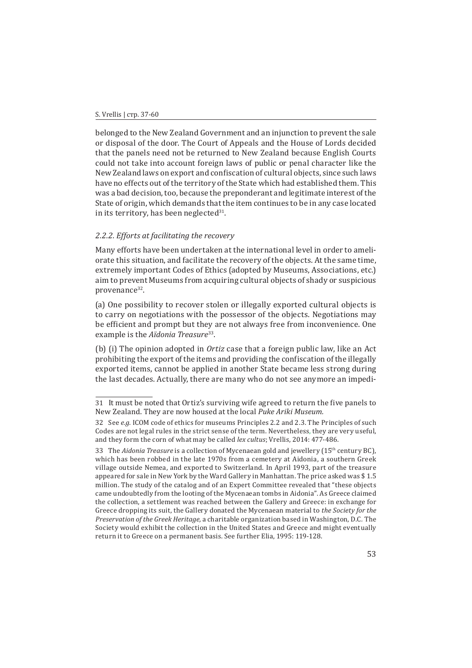belonged to the New Zealand Government and an injunction to prevent the sale or disposal of the door. The Court of Appeals and the House of Lords decided that the panels need not be returned to New Zealand because English Courts could not take into account foreign laws of public or penal character like the New Zealand laws on export and confiscation of cultural objects, since such laws have no effects out of the territory of the State which had established them. This was a bad decision, too, because the preponderant and legitimate interest of the State of origin, which demands that the item continues to be in any case located in its territory, has been neglected $31$ .

## *2.2.2. Efforts at facilitating the recovery*

Many efforts have been undertaken at the international level in order to ameliorate this situation, and facilitate the recovery of the objects. At the same time, extremely important Codes of Ethics (adopted by Museums, Associations, etc.) aim to prevent Museums from acquiring cultural objects of shady or suspicious provenance<sup>32</sup>.

(a) One possibility to recover stolen or illegally exported cultural objects is to carry on negotiations with the possessor of the objects. Negotiations may be efficient and prompt but they are not always free from inconvenience. One example is the *Aïdonia Treasure*<sup>33</sup>.

(b) (i) The opinion adopted in *Ortiz* case that a foreign public law, like an Act prohibiting the export of the items and providing the confiscation of the illegally exported items, cannot be applied in another State became less strong during the last decades. Actually, there are many who do not see anymore an impedi-

<sup>31</sup>  It must be noted that Ortiz's surviving wife agreed to return the five panels to New Zealand. They are now housed at the local *Puke Ariki Museum.* 

<sup>32</sup>  See *e.g.* ICOM code of ethics for museums Principles 2.2 and 2.3. The Principles of such Codes are not legal rules in the strict sense of the term. Nevertheless, they are very useful, and they form the corn of what may be called *lex cultus*; Vrellis, 2014: 477-486.

<sup>33</sup>  The *Aidonia Treasure* is a collection of Mycenaean gold and jewellery (15th century BC), which has been robbed in the late 1970s from a cemetery at Aidonia, a southern Greek village outside Nemea, and exported to Switzerland. In April 1993, part of the treasure appeared for sale in New York by the Ward Gallery in Manhattan. The price asked was \$ 1.5 million. The study of the catalog and of an Expert Committee revealed that "these objects came undoubtedly from the looting of the Mycenaean tombs in Aidonia". As Greece claimed the collection, a settlement was reached between the Gallery and Greece: in exchange for Greece dropping its suit, the Gallery donated the Mycenaean material to *the Society for the Preservation of the Greek Heritage,* a charitable organization based in Washington, D.C*.* The Society would exhibit the collection in the United States and Greece and might eventually return it to Greece on a permanent basis. See further Elia, 1995: 119-128.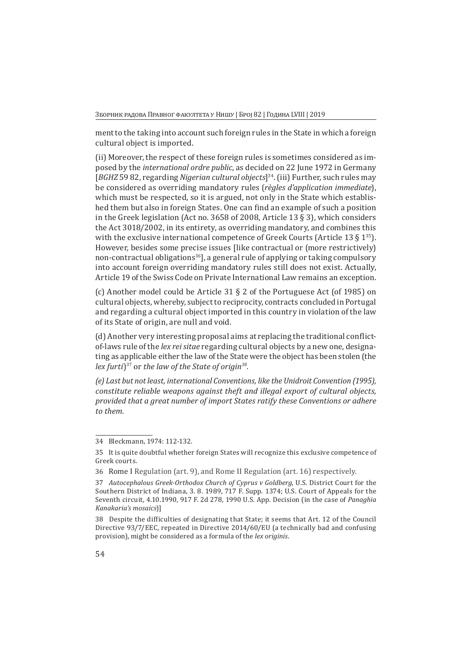ment to the taking into account such foreign rules in the State in which a foreign cultural object is imported.

(ii) Moreover, the respect of these foreign rules is sometimes considered as imposed by the *international ordre public*, as decided on 22 June 1972 in Germany [*BGHZ* 59 82, regarding *Nigerian cultural objects*]34. (iii) Further, such rules may be considered as overriding mandatory rules (*règles d'application immediate*), which must be respected, so it is argued, not only in the State which established them but also in foreign States. One can find an example of such a position in the Greek legislation (Act no. 3658 of 2008, Article 13 § 3), which considers the Act 3018/2002, in its entirety, as overriding mandatory, and combines this with the exclusive international competence of Greek Courts (Article 13  $\S$  1<sup>35</sup>). However, besides some precise issues [like contractual or (more restrictively) non-contractual obligations<sup>36</sup>], a general rule of applying or taking compulsory into account foreign overriding mandatory rules still does not exist. Actually, Article 19 of the Swiss Code on Private International Law remains an exception.

(c) Another model could be Article 31 § 2 of the Portuguese Act (of 1985) on cultural objects, whereby, subject to reciprocity, contracts concluded in Portugal and regarding a cultural object imported in this country in violation of the law of its State of origin, are null and void.

(d) Another very interesting proposal aims at replacing the traditional conflictof-laws rule of the *lex rei sitae* regarding cultural objects by a new one, designating as applicable either the law of the State were the object has been stolen (the *lex furti*)37 or *the law of the State of origin<sup>38</sup>.*

*(e) Last but not least, international Conventions, like the Unidroit Convention (1995), constitute reliable weapons against theft and illegal export of cultural objects, provided that a great number of import States ratify these Conventions or adhere to them.*

<sup>34</sup>  Bleckmann, 1974: 112-132.

<sup>35</sup>  It is quite doubtful whether foreign States will recognize this exclusive competence of Greek courts.

<sup>36</sup>  Rome I Regulation (art. 9), and Rome II Regulation (art. 16) respectively.

<sup>37</sup>  *Autocephalous Greek-Orthodox Church of Cyprus v Goldberg*, U.S. District Court for the Southern District of Indiana, 3. 8. 1989, 717 F. Supp. 1374; U.S. Court of Appeals for the Seventh circuit, 4.10.1990, 917 F. 2d 278, 1990 U.S. App. Decision (in the case of *Panaghia Kanakaria's mosaics*)]

<sup>38</sup> Despite the difficulties of designating that State; it seems that Art. 12 of the Council Directive 93/7/EEC, repeated in Directive 2014/60/EU (a technically bad and confusing provision), might be considered as a formula of the *lex originis*.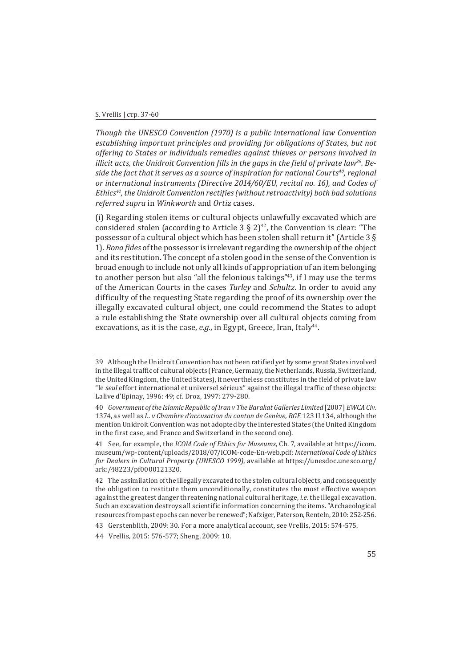#### S. Vrellis | стр. 37-60

*Though the UNESCO Convention (1970) is a public international law Convention establishing important principles and providing for obligations of States, but not offering to States or individuals remedies against thieves or persons involved in illicit acts, the Unidroit Convention fills in the gaps in the field of private law39. Beside the fact that it serves as a source of inspiration for national Courts<sup>40</sup>, regional or international instruments (Directive 2014/60/EU, recital no. 16), and Codes of Ethics41, the Unidroit Convention rectifies (without retroactivity) both bad solutions referred supra* in *Winkworth* and *Ortiz* cases.

(i) Regarding stolen items or cultural objects unlawfully excavated which are considered stolen (according to Article 3  $\S 2^{42}$ , the Convention is clear: "The possessor of a cultural object which has been stolen shall return it" (Article 3 § 1). *Bona fides* of the possessor is irrelevant regarding the ownership of the object and its restitution. The concept of a stolen good in the sense of the Convention is broad enough to include not only all kinds of appropriation of an item belonging to another person but also "all the felonious takings"<sup>43</sup>, if I may use the terms of the American Courts in the cases *Turley* and *Schultz.* In order to avoid any difficulty of the requesting State regarding the proof of its ownership over the illegally excavated cultural object, one could recommend the States to adopt a rule establishing the State ownership over all cultural objects coming from excavations, as it is the case, e.g., in Egypt, Greece, Iran, Italy<sup>44</sup>.

<sup>39</sup> Although the Unidroit Convention has not been ratified yet by some great States involved in the illegal traffic of cultural objects (France, Germany, the Netherlands, Russia, Switzerland, the United Kingdom, the United States), it nevertheless constitutes in the field of private law "le *seul* effort international et universel sérieux" against the illegal traffic of these objects: Lalive d'Epinay, 1996: 49; cf. Droz, 1997: 279-280.

<sup>40</sup>  *Government of the Islamic Republic of Iran v The Barakat Galleries Limited* [2007] *EWCA Civ.* 1374, as well as *L. v Chambre d'accusation du canton de Genève, BGE* 123 II 134, although the mention Unidroit Convention was not adopted by the interested States (the United Kingdom in the first case, and France and Switzerland in the second one).

<sup>41</sup>  See, for example, the *ICOM Code of Ethics for Museums,* Ch. 7, available at https://icom. museum/wp-content/uploads/2018/07/ICOM-code-En-web.pdf; *International Code of Ethics for Dealers in Cultural Property (UNESCO 1999)*, available at https://unesdoc.unesco.org/ ark:/48223/pf0000121320.

<sup>42</sup>  The assimilation of the illegally excavated to the stolen cultural objects, and consequently the obligation to restitute them unconditionally, constitutes the most effective weapon against the greatest danger threatening national cultural heritage, *i.e.* the illegal excavation. Such an excavation destroys all scientific information concerning the items. "Archaeological resources from past epochs can never be renewed"; Nafziger, Paterson, Renteln, 2010: 252-256.

<sup>43</sup>  Gerstenblith, 2009: 30. For a more analytical account, see Vrellis, 2015: 574-575.

<sup>44</sup>  Vrellis, 2015: 576-577; Sheng, 2009: 10.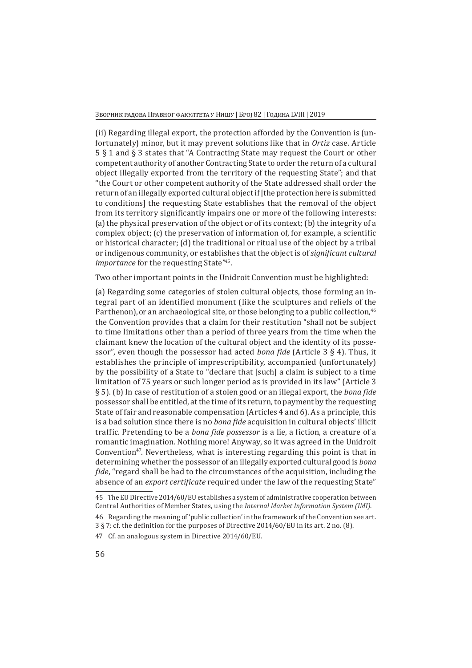(ii) Regarding illegal export, the protection afforded by the Convention is (unfortunately) minor, but it may prevent solutions like that in *Ortiz* case. Article 5 § 1 and § 3 states that "A Contracting State may request the Court or other competent authority of another Contracting State to order the return of a cultural object illegally exported from the territory of the requesting State"; and that "the Court or other competent authority of the State addressed shall order the return of an illegally exported cultural object if [the protection here is submitted to conditions] the requesting State establishes that the removal of the object from its territory significantly impairs one or more of the following interests: (a) the physical preservation of the object or of its context; (b) the integrity of a complex object; (c) the preservation of information of, for example, a scientific or historical character; (d) the traditional or ritual use of the object by a tribal or indigenous community, or establishes that the object is of *significant cultural importance* for the requesting State<sup>745</sup>.

Two other important points in the Unidroit Convention must be highlighted:

(a) Regarding some categories of stolen cultural objects, those forming an integral part of an identified monument (like the sculptures and reliefs of the Parthenon), or an archaeological site, or those belonging to a public collection,<sup>46</sup> the Convention provides that a claim for their restitution "shall not be subject to time limitations other than a period of three years from the time when the claimant knew the location of the cultural object and the identity of its possessor", even though the possessor had acted *bona fide* (Article 3 § 4). Thus, it establishes the principle of imprescriptibility, accompanied (unfortunately) by the possibility of a State to "declare that [such] a claim is subject to a time limitation of 75 years or such longer period as is provided in its law" (Article 3 § 5). (b) In case of restitution of a stolen good or an illegal export, the *bona fide* possessor shall be entitled, at the time of its return, to payment by the requesting State of fair and reasonable compensation (Articles 4 and 6). As a principle, this is a bad solution since there is no *bona fide* acquisition in cultural objects' illicit traffic. Pretending to be a *bona fide possessor* is a lie, a fiction, a creature of a romantic imagination. Nothing more! Anyway, so it was agreed in the Unidroit Convention<sup>47</sup>. Nevertheless, what is interesting regarding this point is that in determining whether the possessor of an illegally exported cultural good is *bona fide*, "regard shall be had to the circumstances of the acquisition, including the absence of an *export certificate* required under the law of the requesting State"

<sup>45</sup>  The EU Directive 2014/60/EU establishes a system of administrative cooperation between Central Authorities of Member States, using the *Internal Market Information System (IMI)*.

<sup>46</sup>  Regarding the meaning of 'public collection' in the framework of the Convention see art. 3 § 7; cf. the definition for the purposes of Directive 2014/60/EU in its art. 2 no. (8).

<sup>47</sup>  Cf. an analogous system in Directive 2014/60/EU.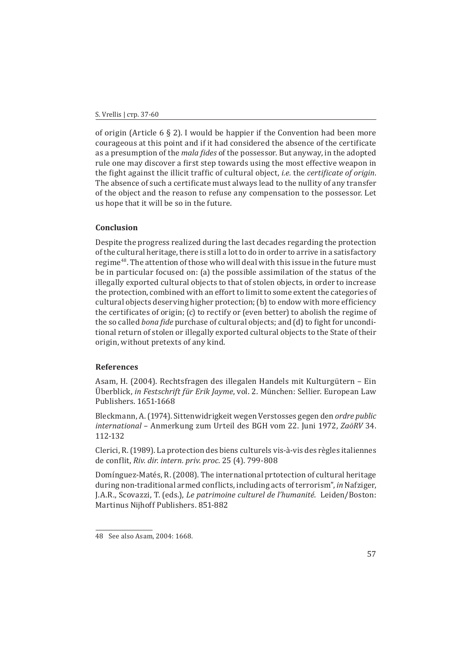of origin (Article  $6 \& 2$ ). I would be happier if the Convention had been more courageous at this point and if it had considered the absence of the certificate as a presumption of the *mala fides* of the possessor. But anyway, in the adopted rule one may discover a first step towards using the most effective weapon in the fight against the illicit traffic of cultural object, *i.e.* the *certificate of origin*. The absence of such a certificate must always lead to the nullity of any transfer of the object and the reason to refuse any compensation to the possessor. Let us hope that it will be so in the future.

## **Conclusion**

Despite the progress realized during the last decades regarding the protection of the cultural heritage, there is still a lot to do in order to arrive in a satisfactory regime48. The attention of those who will deal with this issue in the future must be in particular focused on: (a) the possible assimilation of the status of the illegally exported cultural objects to that of stolen objects, in order to increase the protection, combined with an effort to limit to some extent the categories of cultural objects deserving higher protection; (b) to endow with more efficiency the certificates of origin; (c) to rectify or (even better) to abolish the regime of the so called *bona fide* purchase of cultural objects; and (d) to fight for unconditional return of stolen or illegally exported cultural objects to the State of their origin, without pretexts of any kind.

## **References**

Asam, H. (2004). Rechtsfragen des illegalen Handels mit Kulturgütern – Ein Überblick, *in Festschrift für Erik Jayme*, vol. 2. München: Sellier. European Law Publishers. 1651-1668

Bleckmann, A. (1974). Sittenwidrigkeit wegen Verstosses gegen den *ordre public international* – Anmerkung zum Urteil des BGH vom 22. Juni 1972, *ZaöRV* 34. 112-132

Clerici, R. (1989). La protection des biens culturels vis-à-vis des règles italiennes de conflit, *Riv. dir. intern. priv. proc.* 25 (4). 799-808

Domínguez-Matés, R. (2008). The international prtotection of cultural heritage during non-traditional armed conflicts, including acts of terrorism", *in* Nafziger, J.A.R., Scovazzi, T. (eds.), *Le patrimoine culturel de l'humanité*. Leiden/Boston: Martinus Nijhoff Publishers. 851-882

<sup>48</sup>  See also Asam, 2004: 1668.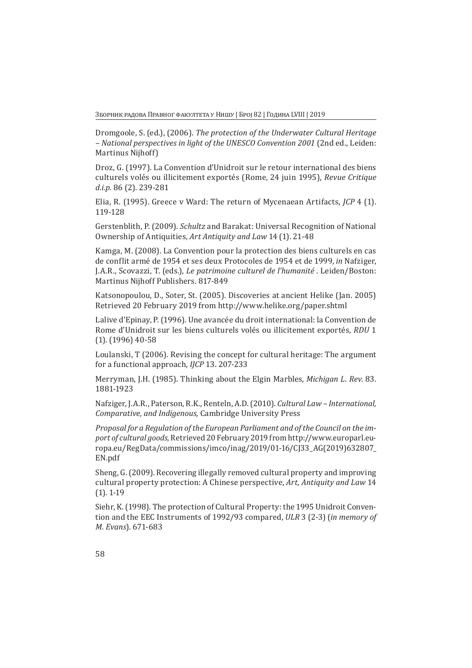Зборник радова Правног факултета у Нишу | Број 82 | Година LVIII | 2019

Dromgoole, S. (ed.), (2006). *The protection of the Underwater Cultural Heritage – National perspectives in light of the UNESCO Convention 2001* (2nd ed., Leiden: Martinus Nijhoff)

Droz, G. (1997). La Convention d'Unidroit sur le retour international des biens culturels volés ou illicitement exportés (Rome, 24 juin 1995), *Revue Critique d.i.p.* 86 (2). 239-281

Elia, R. (1995). Greece v Ward: The return of Mycenaean Artifacts, *JCP* 4 (1). 119-128

Gerstenblith, P. (2009). *Schultz* and Barakat: Universal Recognition of National Ownership of Antiquities, *Art Antiquity and Law* 14 (1). 21-48

Kamga, M. (2008). La Convention pour la protection des biens culturels en cas de conflit armé de 1954 et ses deux Protocoles de 1954 et de 1999, *in* Nafziger, J.A.R., Scovazzi, T. (eds.), *Le patrimoine culturel de l'humanité* . Leiden/Boston: Martinus Nijhoff Publishers. 817-849

Katsonopoulou, D., Soter, St. (2005). Discoveries at ancient Helike (Jan. 2005) Retrieved 20 February 2019 from http://www.helike.org/paper.shtml

Lalive d'Epinay, P. (1996). Une avancée du droit international: la Convention de Rome d'Unidroit sur les biens culturels volés ou illicitement exportés, *RDU* 1 (1). (1996) 40-58

Loulanski, T (2006). Revising the concept for cultural heritage: The argument for a functional approach, *IJCP* 13. 207-233

Merryman, J.H. (1985). Thinking about the Elgin Marbles, *Michigan L. Rev*. 83. 1881-1923

Nafziger, J.A.R., Paterson, R.K., Renteln, A.D. (2010). *Cultural Law – International, Comparative, and Indigenous,* Cambridge University Press

*Proposal for a Regulation of the European Parliament and of the Council on the import of cultural goods*, Retrieved 20 February 2019 from http://www.europarl.europa.eu/RegData/commissions/imco/inag/2019/01-16/CJ33\_AG(2019)632807\_ EN.pdf

Sheng, G. (2009). Recovering illegally removed cultural property and improving cultural property protection: A Chinese perspective, *Art, Antiquity and Law* 14 (1). 1-19

Siehr, K. (1998). The protection of Cultural Property: the 1995 Unidroit Convention and the EEC Instruments of 1992/93 compared, *ULR* 3 (2-3) (*in memory of M. Evans*). 671-683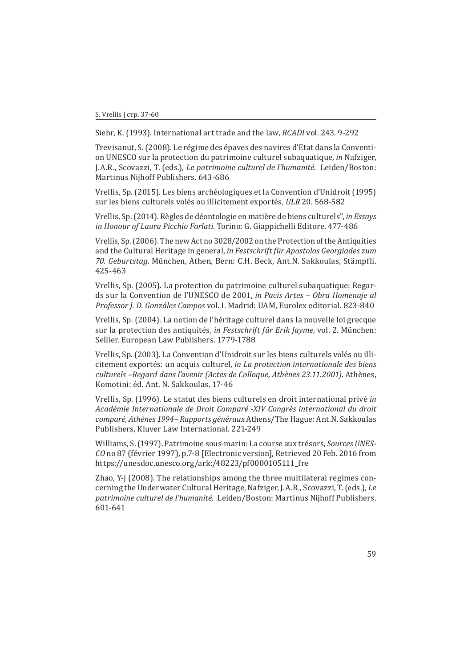Siehr, K. (1993). International art trade and the law, *RCADI* vol. 243. 9-292

Trevisanut, S. (2008). Le régime des épaves des navires d'Etat dans la Convention UNESCO sur la protection du patrimoine culturel subaquatique, *in* Nafziger, J.A.R., Scovazzi, T. (eds.), *Le patrimoine culturel de l'humanité*. Leiden/Boston: Martinus Nijhoff Publishers. 643-686

Vrellis, Sp. (2015). Les biens archéologiques et la Convention d'Unidroit (1995) sur les biens culturels volés ou illicitement exportés, *ULR* 20. 568-582

Vrellis, Sp. (2014). Règles de déontologie en matière de biens culturels", *in Essays in Honour of Laura Picchio Forlati*. Torino: G. Giappichelli Editore. 477-486

Vrellis, Sp. (2006). The new Act no 3028/2002 on the Protection of the Antiquities and the Cultural Heritage in general, *in Festschrift für Apostolos Georgiades zum 70. Geburtstag*. München, Athen, Bern: C.H. Beck, Ant.N. Sakkoulas, Stämpfli. 425-463

Vrellis, Sp. (2005). La protection du patrimoine culturel subaquatique: Regards sur la Convention de l'UNESCO de 2001, *in Pacis Artes – Obra Homenaje al Professor J. D. Gonzáles Campos* vol. I. Madrid: UAM, Eurolex editorial. 823-840

Vrellis, Sp. (2004). La notion de l'héritage culturel dans la nouvelle loi grecque sur la protection des antiquités, *in Festschrift für Erik Jayme*, vol. 2. München: Sellier. European Law Publishers. 1779-1788

Vrellis, Sp. (2003). La Convention d'Unidroit sur les biens culturels volés ou illicitement exportés: un acquis culturel, *in La protection internationale des biens culturels –Regard dans l'avenir (Actes de Colloque, Athènes 23.11.2001)*. Athènes, Komotini: éd. Ant. N. Sakkoulas. 17-46

Vrellis, Sp. (1996). Le statut des biens culturels en droit international privé *in Académie Internationale de Droit Comparé -XIV Congrès international du droit comparé, Athènes 1994– Rapports généraux* Athens/The Hague: Ant.N. Sakkoulas Publishers, Kluver Law International. 221-249

Williams, S. (1997). Patrimoine sous-marin: La course aux trésors, *Sources UNES-CO* no 87 (février 1997), p.7-8 [Electronic version], Retrieved 20 Feb. 2016 from https://unesdoc.unesco.org/ark:/48223/pf0000105111\_fre

Zhao, Y-j (2008). The relationships among the three multilateral regimes concerning the Underwater Cultural Heritage, Nafziger, J.A.R., Scovazzi, T. (eds.), *Le patrimoine culturel de l'humanité*. Leiden/Boston: Martinus Nijhoff Publishers. 601-641